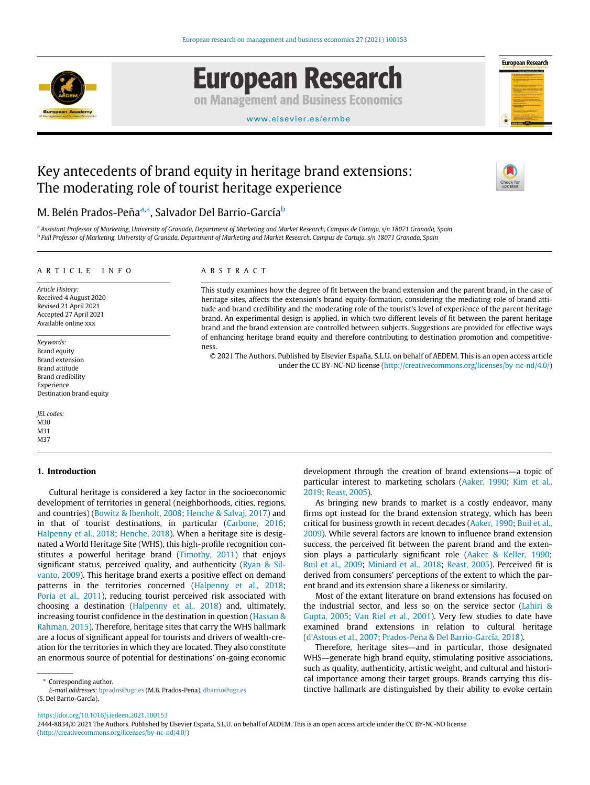

# **European Research**

on Management and Business Economics



#### [www.elsevier.es/ermbe](http://www.elsevier.es/ermbe)

## Key antecedents of brand equity in heritage brand extensions: The moderating role of tourist heritage experience



### M. Belén Prados-Peña<sup>[a,](#page-0-0)</sup>[\\*,](#page-0-1) Salvador Del Barrio-García<sup>[b](#page-0-2)</sup>

<span id="page-0-2"></span><span id="page-0-0"></span>a Assistant Professor of Marketing, University of Granada, Department of Marketing and Market Research, Campus de Cartuja, s/n 18071 Granada, Spain <sup>b</sup> Full Professor of Marketing, University of Granada, Department of Marketing and Market Research, Campus de Cartuja, s/n 18071 Granada, Spain

#### ARTICLE INFO

Article History: Received 4 August 2020 Revised 21 April 2021 Accepted 27 April 2021 Available online xxx

Keywords: Brand equity Brand extension Brand attitude Brand credibility Experience Destination brand equity

JEL codes: M30 M31 M<sub>37</sub>

#### 1. Introduction

#### Cultural heritage is considered a key factor in the socioeconomic development of territories in general (neighborhoods, cities, regions, and countries) [\(Bowitz & Ibenholt, 2008;](#page-8-0) [Henche & Salvaj, 2017\)](#page-8-1) and in that of tourist destinations, in particular [\(Carbone, 2016;](#page-8-2) [Halpenny et al., 2018;](#page-8-3) [Henche, 2018](#page-8-4)). When a heritage site is designated a World Heritage Site (WHS), this high-profile recognition constitutes a powerful heritage brand [\(Timothy, 2011](#page-9-0)) that enjoys significant status, perceived quality, and authenticity [\(Ryan & Sil](#page-8-5)[vanto, 2009\)](#page-8-5). This heritage brand exerts a positive effect on demand patterns in the territories concerned [\(Halpenny et al., 2018;](#page-8-3) [Poria et al., 2011\)](#page-8-6), reducing tourist perceived risk associated with choosing a destination [\(Halpenny et al., 2018](#page-8-3)) and, ultimately, increasing tourist confidence in the destination in question [\(Hassan &](#page-8-7) [Rahman, 2015\)](#page-8-7). Therefore, heritage sites that carry the WHS hallmark are a focus of significant appeal for tourists and drivers of wealth-creation for the territories in which they are located. They also constitute an enormous source of potential for destinations' on-going economic

\* Corresponding author.

<span id="page-0-1"></span>E-mail addresses: [bprados@ugr.es](mailto:bprados@ugr.es) (M.B. Prados-Peña), [dbarrio@ugr.es](mailto:dbarrio@ugr.es) (S. Del Barrio-García).

#### ABSTRACT

This study examines how the degree of fit between the brand extension and the parent brand, in the case of heritage sites, affects the extension's brand equity-formation, considering the mediating role of brand attitude and brand credibility and the moderating role of the tourist's level of experience of the parent heritage brand. An experimental design is applied, in which two different levels of fit between the parent heritage brand and the brand extension are controlled between subjects. Suggestions are provided for effective ways of enhancing heritage brand equity and therefore contributing to destination promotion and competitiveness.

© 2021 The Authors. Published by Elsevier España, S.L.U. on behalf of AEDEM. This is an open access article under the CC BY-NC-ND license (<http://creativecommons.org/licenses/by-nc-nd/4.0/>)

> development through the creation of brand extensions—a topic of particular interest to marketing scholars ([Aaker, 1990;](#page-7-0) [Kim et al.,](#page-8-8) [2019;](#page-8-8) [Reast, 2005](#page-8-9)).

> As bringing new brands to market is a costly endeavor, many firms opt instead for the brand extension strategy, which has been critical for business growth in recent decades ([Aaker, 1990;](#page-7-0) [Buil et al.,](#page-8-10) [2009\)](#page-8-10). While several factors are known to influence brand extension success, the perceived fit between the parent brand and the extension plays a particularly significant role ([Aaker & Keller, 1990;](#page-7-1) [Buil et al., 2009;](#page-8-10) [Miniard et al., 2018;](#page-8-11) [Reast, 2005](#page-8-9)). Perceived fit is derived from consumers' perceptions of the extent to which the parent brand and its extension share a likeness or similarity.

> Most of the extant literature on brand extensions has focused on the industrial sector, and less so on the service sector [\(Lahiri &](#page-8-12) [Gupta, 2005](#page-8-12); [Van Riel et al., 2001](#page-9-1)). Very few studies to date have examined brand extensions in relation to cultural heritage (d'[Astous et al., 2007](#page-8-13); Prados-Peña & Del Barrio-García, 2018).

> Therefore, heritage sites—and in particular, those designated WHS—generate high brand equity, stimulating positive associations, such as quality, authenticity, artistic weight, and cultural and historical importance among their target groups. Brands carrying this distinctive hallmark are distinguished by their ability to evoke certain

<https://doi.org/10.1016/j.iedeen.2021.100153>

2444-8834/© 2021 The Authors. Published by Elsevier España, S.L.U. on behalf of AEDEM. This is an open access article under the CC BY-NC-ND license ([http://creativecommons.org/licenses/by-nc-nd/4.0/\)](http://creativecommons.org/licenses/by-nc-nd/4.0/)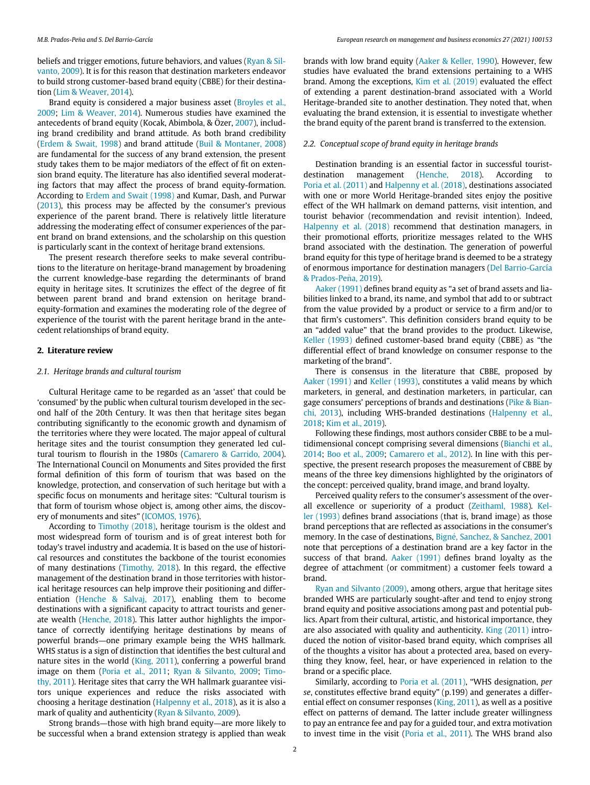beliefs and trigger emotions, future behaviors, and values [\(Ryan & Sil](#page-8-5)[vanto, 2009](#page-8-5)). It is for this reason that destination marketers endeavor to build strong customer-based brand equity (CBBE) for their destination ([Lim & Weaver, 2014](#page-8-15)).

Brand equity is considered a major business asset [\(Broyles et al.,](#page-8-16) [2009;](#page-8-16) [Lim & Weaver, 2014\)](#page-8-15). Numerous studies have examined the antecedents of brand equity (Kocak, Abimbola, & Özer,  $2007$ ), including brand credibility and brand attitude. As both brand credibility ([Erdem & Swait, 1998](#page-8-17)) and brand attitude [\(Buil & Montaner, 2008\)](#page-8-18) are fundamental for the success of any brand extension, the present study takes them to be major mediators of the effect of fit on extension brand equity. The literature has also identified several moderating factors that may affect the process of brand equity-formation. According to [Erdem and Swait \(1998\)](#page-8-17) and Kumar, Dash, and Purwar ([2013\)](#page-8-19), this process may be affected by the consumer's previous experience of the parent brand. There is relatively little literature addressing the moderating effect of consumer experiences of the parent brand on brand extensions, and the scholarship on this question is particularly scant in the context of heritage brand extensions.

The present research therefore seeks to make several contributions to the literature on heritage-brand management by broadening the current knowledge-base regarding the determinants of brand equity in heritage sites. It scrutinizes the effect of the degree of fit between parent brand and brand extension on heritage brandequity-formation and examines the moderating role of the degree of experience of the tourist with the parent heritage brand in the antecedent relationships of brand equity.

#### 2. Literature review

#### 2.1. Heritage brands and cultural tourism

Cultural Heritage came to be regarded as an 'asset' that could be 'consumed' by the public when cultural tourism developed in the second half of the 20th Century. It was then that heritage sites began contributing significantly to the economic growth and dynamism of the territories where they were located. The major appeal of cultural heritage sites and the tourist consumption they generated led cultural tourism to flourish in the 1980s [\(Camarero & Garrido, 2004\)](#page-8-20). The International Council on Monuments and Sites provided the first formal definition of this form of tourism that was based on the knowledge, protection, and conservation of such heritage but with a specific focus on monuments and heritage sites: "Cultural tourism is that form of tourism whose object is, among other aims, the discovery of monuments and sites" [\(ICOMOS, 1976](#page-8-21)).

According to [Timothy \(2018\)](#page-9-2), heritage tourism is the oldest and most widespread form of tourism and is of great interest both for today's travel industry and academia. It is based on the use of historical resources and constitutes the backbone of the tourist economies of many destinations [\(Timothy, 2018](#page-9-2)). In this regard, the effective management of the destination brand in those territories with historical heritage resources can help improve their positioning and differentiation ([Henche & Salvaj, 2017\)](#page-8-1), enabling them to become destinations with a significant capacity to attract tourists and generate wealth ([Henche, 2018](#page-8-4)). This latter author highlights the importance of correctly identifying heritage destinations by means of powerful brands—one primary example being the WHS hallmark. WHS status is a sign of distinction that identifies the best cultural and nature sites in the world [\(King, 2011\)](#page-8-22), conferring a powerful brand image on them ([Poria et al., 2011;](#page-8-6) [Ryan & Silvanto, 2009](#page-8-5); [Timo](#page-9-0)[thy, 2011\)](#page-9-0). Heritage sites that carry the WH hallmark guarantee visitors unique experiences and reduce the risks associated with choosing a heritage destination [\(Halpenny et al., 2018](#page-8-3)), as it is also a mark of quality and authenticity [\(Ryan & Silvanto, 2009\)](#page-8-5).

Strong brands—those with high brand equity—are more likely to be successful when a brand extension strategy is applied than weak brands with low brand equity ([Aaker & Keller, 1990](#page-7-1)). However, few studies have evaluated the brand extensions pertaining to a WHS brand. Among the exceptions, [Kim et al. \(2019\)](#page-8-8) evaluated the effect of extending a parent destination-brand associated with a World Heritage-branded site to another destination. They noted that, when evaluating the brand extension, it is essential to investigate whether the brand equity of the parent brand is transferred to the extension.

#### 2.2. Conceptual scope of brand equity in heritage brands

Destination branding is an essential factor in successful touristdestination management ([Henche, 2018\)](#page-8-4). According to [Poria et al. \(2011\)](#page-8-6) and [Halpenny et al. \(2018\),](#page-8-3) destinations associated with one or more World Heritage-branded sites enjoy the positive effect of the WH hallmark on demand patterns, visit intention, and tourist behavior (recommendation and revisit intention). Indeed, [Halpenny et al. \(2018\)](#page-8-3) recommend that destination managers, in their promotional efforts, prioritize messages related to the WHS brand associated with the destination. The generation of powerful brand equity for this type of heritage brand is deemed to be a strategy of enormous importance for destination managers ([Del Barrio-García](#page-8-23) & Prados-Peña, 2019).

[Aaker \(1991\)](#page-7-2) defines brand equity as "a set of brand assets and liabilities linked to a brand, its name, and symbol that add to or subtract from the value provided by a product or service to a firm and/or to that firm's customers". This definition considers brand equity to be an "added value" that the brand provides to the product. Likewise, [Keller \(1993\)](#page-8-24) defined customer-based brand equity (CBBE) as "the differential effect of brand knowledge on consumer response to the marketing of the brand".

There is consensus in the literature that CBBE, proposed by [Aaker \(1991\)](#page-7-2) and [Keller \(1993\)](#page-8-24), constitutes a valid means by which marketers, in general, and destination marketers, in particular, can gage consumers' perceptions of brands and destinations ([Pike & Bian](#page-8-25)[chi, 2013\)](#page-8-25), including WHS-branded destinations ([Halpenny et al.,](#page-8-3) [2018;](#page-8-3) [Kim et al., 2019](#page-8-8)).

Following these findings, most authors consider CBBE to be a multidimensional concept comprising several dimensions ([Bianchi et al.,](#page-8-26) [2014;](#page-8-26) [Boo et al., 2009;](#page-8-27) [Camarero et al., 2012](#page-8-28)). In line with this perspective, the present research proposes the measurement of CBBE by means of the three key dimensions highlighted by the originators of the concept: perceived quality, brand image, and brand loyalty.

Perceived quality refers to the consumer's assessment of the overall excellence or superiority of a product [\(Zeithaml, 1988](#page-9-3)). [Kel](#page-8-24)[ler \(1993\)](#page-8-24) defines brand associations (that is, brand image) as those brand perceptions that are reflected as associations in the consumer's memory. In the case of destinations, Bigné, Sanchez, & Sanchez, 2001 note that perceptions of a destination brand are a key factor in the success of that brand. [Aaker \(1991\)](#page-7-2) defines brand loyalty as the degree of attachment (or commitment) a customer feels toward a brand.

[Ryan and Silvanto \(2009\),](#page-8-5) among others, argue that heritage sites branded WHS are particularly sought-after and tend to enjoy strong brand equity and positive associations among past and potential publics. Apart from their cultural, artistic, and historical importance, they are also associated with quality and authenticity. [King \(2011\)](#page-8-22) introduced the notion of visitor-based brand equity, which comprises all of the thoughts a visitor has about a protected area, based on everything they know, feel, hear, or have experienced in relation to the brand or a specific place.

Similarly, according to [Poria et al. \(2011\)](#page-8-6), "WHS designation, per se, constitutes effective brand equity" (p.199) and generates a differential effect on consumer responses [\(King, 2011\)](#page-8-22), as well as a positive effect on patterns of demand. The latter include greater willingness to pay an entrance fee and pay for a guided tour, and extra motivation to invest time in the visit [\(Poria et al., 2011\)](#page-8-6). The WHS brand also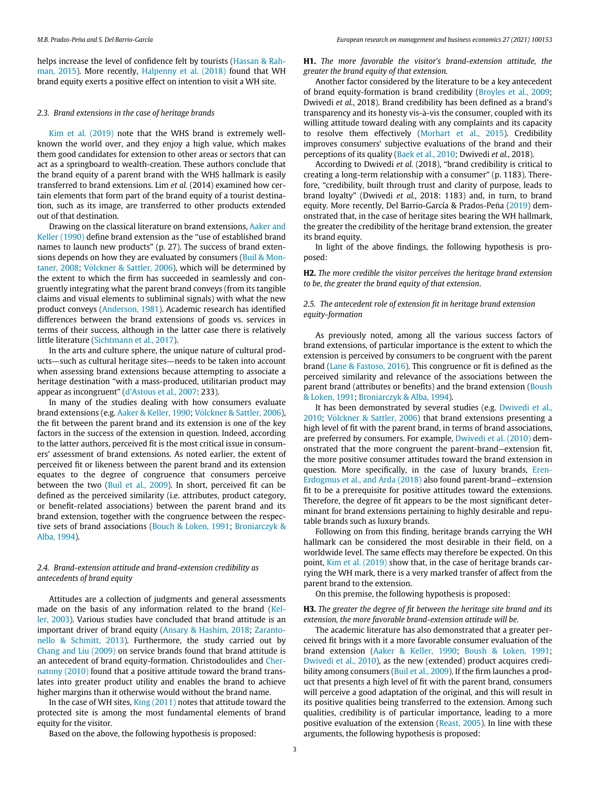helps increase the level of confidence felt by tourists ([Hassan & Rah](#page-8-7)[man, 2015](#page-8-7)). More recently, [Halpenny et al. \(2018\)](#page-8-3) found that WH brand equity exerts a positive effect on intention to visit a WH site.

#### 2.3. Brand extensions in the case of heritage brands

[Kim et al. \(2019\)](#page-8-8) note that the WHS brand is extremely wellknown the world over, and they enjoy a high value, which makes them good candidates for extension to other areas or sectors that can act as a springboard to wealth-creation. These authors conclude that the brand equity of a parent brand with the WHS hallmark is easily transferred to brand extensions. Lim et al. (2014) examined how certain elements that form part of the brand equity of a tourist destination, such as its image, are transferred to other products extended out of that destination.

Drawing on the classical literature on brand extensions, [Aaker and](#page-7-1) [Keller \(1990\)](#page-7-1) define brand extension as the "use of established brand names to launch new products" (p. 27). The success of brand extensions depends on how they are evaluated by consumers [\(Buil & Mon](#page-8-18)[taner, 2008](#page-8-18); [V](#page-9-4)ö[lckner & Sattler, 2006](#page-9-4)), which will be determined by the extent to which the firm has succeeded in seamlessly and congruently integrating what the parent brand conveys (from its tangible claims and visual elements to subliminal signals) with what the new product conveys [\(Anderson, 1981\)](#page-8-30). Academic research has identified differences between the brand extensions of goods vs. services in terms of their success, although in the latter case there is relatively little literature [\(Sichtmann et al., 2017](#page-8-31)).

In the arts and culture sphere, the unique nature of cultural products—such as cultural heritage sites—needs to be taken into account when assessing brand extensions because attempting to associate a heritage destination "with a mass-produced, utilitarian product may appear as incongruent" (d'[Astous et al., 2007:](#page-8-13) 233).

In many of the studies dealing with how consumers evaluate brand extensions (e.g. [Aaker & Keller, 1990](#page-7-1); Völckner & Sattler, 2006), the fit between the parent brand and its extension is one of the key factors in the success of the extension in question. Indeed, according to the latter authors, perceived fit is the most critical issue in consumers' assessment of brand extensions. As noted earlier, the extent of perceived fit or likeness between the parent brand and its extension equates to the degree of congruence that consumers perceive between the two [\(Buil et al., 2009](#page-8-10)). In short, perceived fit can be defined as the perceived similarity (i.e. attributes, product category, or benefit-related associations) between the parent brand and its brand extension, together with the congruence between the respective sets of brand associations ([Bouch & Loken, 1991;](#page-8-32) [Broniarczyk &](#page-8-33) [Alba, 1994\)](#page-8-33).

#### 2.4. Brand-extension attitude and brand-extension credibility as antecedents of brand equity

Attitudes are a collection of judgments and general assessments made on the basis of any information related to the brand ([Kel](#page-8-34)[ler, 2003](#page-8-34)). Various studies have concluded that brand attitude is an important driver of brand equity ([Ansary & Hashim, 2018;](#page-8-35) [Zaranto](#page-9-5)[nello & Schmitt, 2013](#page-9-5)). Furthermore, the study carried out by [Chang and Liu \(2009\)](#page-8-36) on service brands found that brand attitude is an antecedent of brand equity-formation. Christodoulides and [Cher](#page-8-37)[natony \(2010\)](#page-8-37) found that a positive attitude toward the brand translates into greater product utility and enables the brand to achieve higher margins than it otherwise would without the brand name.

In the case of WH sites, [King \(2011\)](#page-8-22) notes that attitude toward the protected site is among the most fundamental elements of brand equity for the visitor.

Based on the above, the following hypothesis is proposed:

H1. The more favorable the visitor's brand-extension attitude, the greater the brand equity of that extension.

Another factor considered by the literature to be a key antecedent of brand equity-formation is brand credibility [\(Broyles et al., 2009;](#page-8-16) Dwivedi et al., 2018). Brand credibility has been defined as a brand's transparency and its honesty vis-a-vis the consumer, coupled with its willing attitude toward dealing with any complaints and its capacity to resolve them effectively ([Morhart et al., 2015\)](#page-8-38). Credibility improves consumers' subjective evaluations of the brand and their perceptions of its quality ([Baek et al., 2010](#page-8-39); Dwivedi et al., 2018).

According to Dwivedi et al. (2018), "brand credibility is critical to creating a long-term relationship with a consumer" (p. 1183). Therefore, "credibility, built through trust and clarity of purpose, leads to brand loyalty" (Dwivedi et al., 2018: 1183) and, in turn, to brand equity. More recently, Del Barrio-García & Prados-Peña ([2019\)](#page-8-23) demonstrated that, in the case of heritage sites bearing the WH hallmark, the greater the credibility of the heritage brand extension, the greater its brand equity.

In light of the above findings, the following hypothesis is proposed:

H2. The more credible the visitor perceives the heritage brand extension to be, the greater the brand equity of that extension.

#### 2.5. The antecedent role of extension fit in heritage brand extension equity-formation

As previously noted, among all the various success factors of brand extensions, of particular importance is the extent to which the extension is perceived by consumers to be congruent with the parent brand [\(Lane & Fastoso, 2016](#page-8-40)). This congruence or fit is defined as the perceived similarity and relevance of the associations between the parent brand (attributes or benefits) and the brand extension [\(Boush](#page-8-32) [& Loken, 1991;](#page-8-32) [Broniarczyk & Alba, 1994](#page-8-33)).

It has been demonstrated by several studies (e.g. [Dwivedi et al.,](#page-8-41) [2010;](#page-8-41) Völckner & Sattler, 2006) that brand extensions presenting a high level of fit with the parent brand, in terms of brand associations, are preferred by consumers. For example, [Dwivedi et al. \(2010\)](#page-8-41) demonstrated that the more congruent the parent-brand−extension fit, the more positive consumer attitudes toward the brand extension in question. More specifically, in the case of luxury brands, [Eren-](#page-8-42)[Erdogmus et al., and Arda \(2018\)](#page-8-42) also found parent-brand−extension fit to be a prerequisite for positive attitudes toward the extensions. Therefore, the degree of fit appears to be the most significant determinant for brand extensions pertaining to highly desirable and reputable brands such as luxury brands.

Following on from this finding, heritage brands carrying the WH hallmark can be considered the most desirable in their field, on a worldwide level. The same effects may therefore be expected. On this point, [Kim et al. \(2019\)](#page-8-8) show that, in the case of heritage brands carrying the WH mark, there is a very marked transfer of affect from the parent brand to the extension.

On this premise, the following hypothesis is proposed:

H3. The greater the degree of fit between the heritage site brand and its extension, the more favorable brand-extension attitude will be.

The academic literature has also demonstrated that a greater perceived fit brings with it a more favorable consumer evaluation of the brand extension [\(Aaker & Keller, 1990](#page-7-1); [Boush & Loken, 1991;](#page-8-32) [Dwivedi et al., 2010\)](#page-8-41), as the new (extended) product acquires credibility among consumers [\(Buil et al., 2009](#page-8-10)). If the firm launches a product that presents a high level of fit with the parent brand, consumers will perceive a good adaptation of the original, and this will result in its positive qualities being transferred to the extension. Among such qualities, credibility is of particular importance, leading to a more positive evaluation of the extension ([Reast, 2005\)](#page-8-9). In line with these arguments, the following hypothesis is proposed: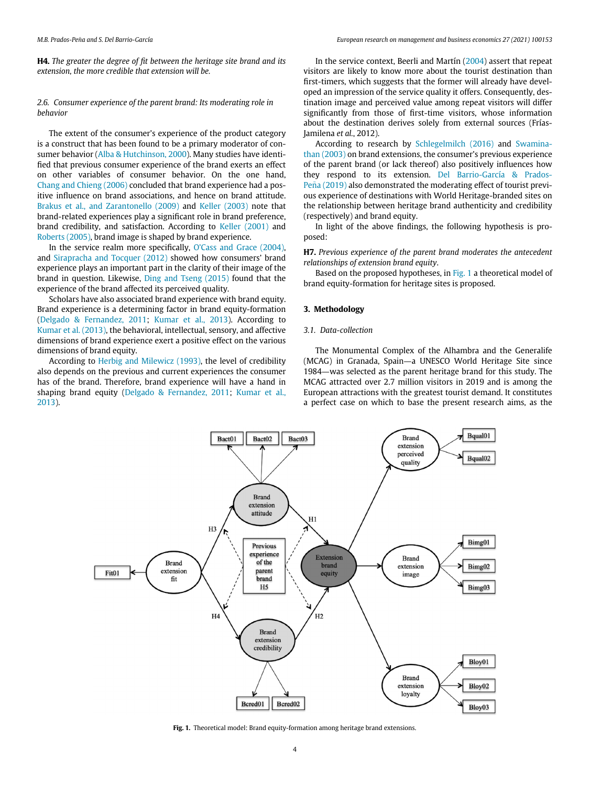H4. The greater the degree of fit between the heritage site brand and its extension, the more credible that extension will be.

#### 2.6. Consumer experience of the parent brand: Its moderating role in behavior

The extent of the consumer's experience of the product category is a construct that has been found to be a primary moderator of consumer behavior [\(Alba & Hutchinson, 2000](#page-7-3)). Many studies have identified that previous consumer experience of the brand exerts an effect on other variables of consumer behavior. On the one hand, [Chang and Chieng \(2006\)](#page-8-43) concluded that brand experience had a positive influence on brand associations, and hence on brand attitude. [Brakus et al., and Zarantonello \(2009\)](#page-8-44) and [Keller \(2003\)](#page-8-34) note that brand-related experiences play a significant role in brand preference, brand credibility, and satisfaction. According to [Keller \(2001\)](#page-8-45) and [Roberts \(2005\)](#page-8-46), brand image is shaped by brand experience.

In the service realm more specifically, O'[Cass and Grace \(2004\),](#page-8-47) and [Sirapracha and Tocquer \(2012\)](#page-9-6) showed how consumers' brand experience plays an important part in the clarity of their image of the brand in question. Likewise, [Ding and Tseng \(2015\)](#page-8-48) found that the experience of the brand affected its perceived quality.

Scholars have also associated brand experience with brand equity. Brand experience is a determining factor in brand equity-formation ([Delgado & Fernandez, 2011](#page-8-49); [Kumar et al., 2013](#page-8-19)). According to [Kumar et al. \(2013\),](#page-8-19) the behavioral, intellectual, sensory, and affective dimensions of brand experience exert a positive effect on the various dimensions of brand equity.

<span id="page-3-0"></span>According to [Herbig and Milewicz \(1993\),](#page-8-50) the level of credibility also depends on the previous and current experiences the consumer has of the brand. Therefore, brand experience will have a hand in shaping brand equity [\(Delgado & Fernandez, 2011;](#page-8-49) [Kumar et al.,](#page-8-19) [2013\)](#page-8-19).

In the service context, Beerli and Martín [\(2004\)](#page-8-51) assert that repeat visitors are likely to know more about the tourist destination than first-timers, which suggests that the former will already have developed an impression of the service quality it offers. Consequently, destination image and perceived value among repeat visitors will differ significantly from those of first-time visitors, whose information about the destination derives solely from external sources (Frías-Jamilena et al., 2012).

According to research by [Schlegelmilch \(2016\)](#page-8-52) and [Swamina](#page-9-7)[than \(2003\)](#page-9-7) on brand extensions, the consumer's previous experience of the parent brand (or lack thereof) also positively influences how they respond to its extension. [Del Barrio-García & Prados-](#page-8-23)Peña (2019) also demonstrated the moderating effect of tourist previous experience of destinations with World Heritage-branded sites on the relationship between heritage brand authenticity and credibility (respectively) and brand equity.

In light of the above findings, the following hypothesis is proposed:

H7. Previous experience of the parent brand moderates the antecedent relationships of extension brand equity.

Based on the proposed hypotheses, in [Fig. 1](#page-3-0) a theoretical model of brand equity-formation for heritage sites is proposed.

#### 3. Methodology

#### 3.1. Data-collection

The Monumental Complex of the Alhambra and the Generalife (MCAG) in Granada, Spain—a UNESCO World Heritage Site since 1984—was selected as the parent heritage brand for this study. The MCAG attracted over 2.7 million visitors in 2019 and is among the European attractions with the greatest tourist demand. It constitutes a perfect case on which to base the present research aims, as the



Fig. 1. Theoretical model: Brand equity-formation among heritage brand extensions.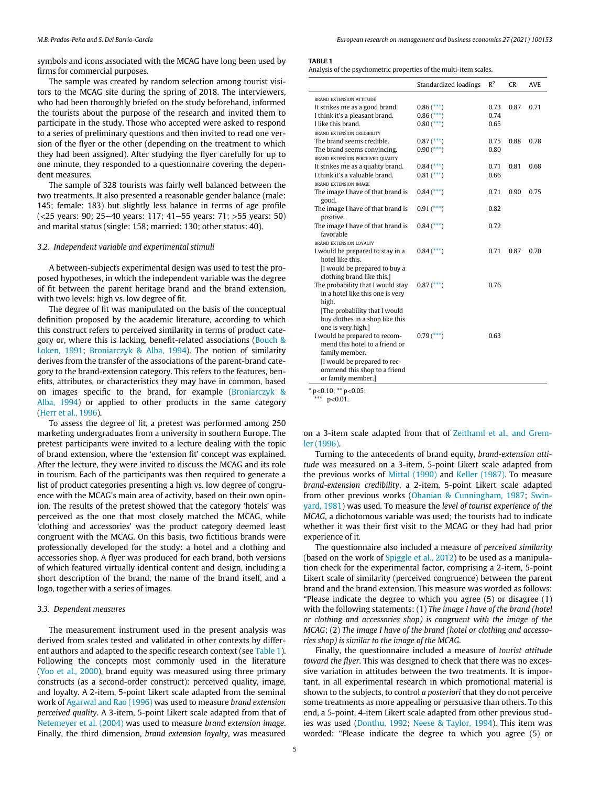M.B. Prados-Pena and S. Del Barrio-García European research on management and business economics 27 (2021) 100153 ~

<span id="page-4-0"></span>symbols and icons associated with the MCAG have long been used by firms for commercial purposes.

The sample was created by random selection among tourist visitors to the MCAG site during the spring of 2018. The interviewers, who had been thoroughly briefed on the study beforehand, informed the tourists about the purpose of the research and invited them to participate in the study. Those who accepted were asked to respond to a series of preliminary questions and then invited to read one version of the flyer or the other (depending on the treatment to which they had been assigned). After studying the flyer carefully for up to one minute, they responded to a questionnaire covering the dependent measures.

The sample of 328 tourists was fairly well balanced between the two treatments. It also presented a reasonable gender balance (male: 145; female: 183) but slightly less balance in terms of age profile (<25 years: 90; 25−40 years: 117; 41−55 years: 71; >55 years: 50) and marital status (single: 158; married: 130; other status: 40).

#### 3.2. Independent variable and experimental stimuli

A between-subjects experimental design was used to test the proposed hypotheses, in which the independent variable was the degree of fit between the parent heritage brand and the brand extension, with two levels: high vs. low degree of fit.

The degree of fit was manipulated on the basis of the conceptual definition proposed by the academic literature, according to which this construct refers to perceived similarity in terms of product category or, where this is lacking, benefit-related associations ([Bouch &](#page-8-32) [Loken, 1991;](#page-8-32) [Broniarczyk & Alba, 1994](#page-8-33)). The notion of similarity derives from the transfer of the associations of the parent-brand category to the brand-extension category. This refers to the features, benefits, attributes, or characteristics they may have in common, based on images specific to the brand, for example ([Broniarczyk &](#page-8-33) [Alba, 1994\)](#page-8-33) or applied to other products in the same category ([Herr et al., 1996](#page-8-53)).

<span id="page-4-1"></span>To assess the degree of fit, a pretest was performed among 250 marketing undergraduates from a university in southern Europe. The pretest participants were invited to a lecture dealing with the topic of brand extension, where the 'extension fit' concept was explained. After the lecture, they were invited to discuss the MCAG and its role in tourism. Each of the participants was then required to generate a list of product categories presenting a high vs. low degree of congruence with the MCAG's main area of activity, based on their own opinion. The results of the pretest showed that the category 'hotels' was perceived as the one that most closely matched the MCAG, while 'clothing and accessories' was the product category deemed least congruent with the MCAG. On this basis, two fictitious brands were professionally developed for the study: a hotel and a clothing and accessories shop. A flyer was produced for each brand, both versions of which featured virtually identical content and design, including a short description of the brand, the name of the brand itself, and a logo, together with a series of images.

#### 3.3. Dependent measures

The measurement instrument used in the present analysis was derived from scales tested and validated in other contexts by different authors and adapted to the specific research context (see [Table 1\)](#page-4-0). Following the concepts most commonly used in the literature ([Yoo et al., 2000](#page-9-8)), brand equity was measured using three primary constructs (as a second-order construct): perceived quality, image, and loyalty. A 2-item, 5-point Likert scale adapted from the seminal work of [Agarwal and Rao \(1996\)](#page-7-4) was used to measure brand extension perceived quality. A 3-item, 5-point Likert scale adapted from that of [Netemeyer et al. \(2004\)](#page-8-54) was used to measure brand extension image. Finally, the third dimension, brand extension loyalty, was measured

#### TARIE<sub>1</sub>

 $\overline{\phantom{a}}$ 

Analysis of the psychometric properties of the multi-item scales.

|                                   | Standardized loadings | $R^2$ | <b>CR</b> | AV <sub>E</sub> |
|-----------------------------------|-----------------------|-------|-----------|-----------------|
| <b>BRAND EXTENSION ATTITUDE</b>   |                       |       |           |                 |
| It strikes me as a good brand.    | $0.86$ (***)          | 0.73  | 0.87      | 0.71            |
| I think it's a pleasant brand.    | $0.86$ (***)          | 0.74  |           |                 |
| I like this brand.                | $0.80$ (***)          | 0.65  |           |                 |
| BRAND EXTENSION CREDIBILITY       |                       |       |           |                 |
| The brand seems credible.         | $0.87$ (***)          | 0.75  | 0.88      | 0.78            |
| The brand seems convincing.       | $0.90$ (***)          | 0.80  |           |                 |
| BRAND EXTENSION PERCEIVED QUALITY |                       |       |           |                 |
| It strikes me as a quality brand. | $0.84$ (***)          | 0.71  | 0.81      | 0.68            |
| I think it's a valuable brand.    | $0.81$ (***)          | 0.66  |           |                 |
| BRAND EXTENSION IMAGE             |                       |       |           |                 |
| The image I have of that brand is | $0.84$ (***)          | 0.71  | 0.90      | 0.75            |
| good.                             |                       |       |           |                 |
| The image I have of that brand is | $0.91$ $(***)$        | 0.82  |           |                 |
| positive.                         |                       |       |           |                 |
| The image I have of that brand is | $0.84$ (***)          | 0.72  |           |                 |
| favorable                         |                       |       |           |                 |
| BRAND EXTENSION LOYALTY           |                       |       |           |                 |
| I would be prepared to stay in a  | $0.84$ (***)          | 0.71  | 0.87      | 0.70            |
| hotel like this.                  |                       |       |           |                 |
| I would be prepared to buy a      |                       |       |           |                 |
| clothing brand like this.]        |                       |       |           |                 |
| The probability that I would stay | $0.87$ (***)          | 0.76  |           |                 |
| in a hotel like this one is very  |                       |       |           |                 |
| high.                             |                       |       |           |                 |
| [The probability that I would     |                       |       |           |                 |
| buy clothes in a shop like this   |                       |       |           |                 |
| one is very high.]                |                       |       |           |                 |
| I would be prepared to recom-     | $0.79$ (***)          | 0.63  |           |                 |
| mend this hotel to a friend or    |                       |       |           |                 |
| family member.                    |                       |       |           |                 |
| [I would be prepared to rec-      |                       |       |           |                 |
| ommend this shop to a friend      |                       |       |           |                 |
| or family member.]                |                       |       |           |                 |

 $*$  p<0.10; \*\* p<0.05;

 $*$  p<0.01.

on a 3-item scale adapted from that of [Zeithaml et al., and Grem](#page-9-9)[ler \(1996\)](#page-9-9).

Turning to the antecedents of brand equity, brand-extension attitude was measured on a 3-item, 5-point Likert scale adapted from the previous works of [Mittal \(1990\)](#page-8-55) and [Keller \(1987\).](#page-8-56) To measure brand-extension credibility, a 2-item, 5-point Likert scale adapted from other previous works ([Ohanian & Cunningham, 1987;](#page-8-57) [Swin](#page-9-10)[yard, 1981](#page-9-10)) was used. To measure the level of tourist experience of the MCAG, a dichotomous variable was used; the tourists had to indicate whether it was their first visit to the MCAG or they had had prior experience of it.

The questionnaire also included a measure of perceived similarity (based on the work of [Spiggle et al., 2012](#page-9-11)) to be used as a manipulation check for the experimental factor, comprising a 2-item, 5-point Likert scale of similarity (perceived congruence) between the parent brand and the brand extension. This measure was worded as follows: "Please indicate the degree to which you agree (5) or disagree (1) with the following statements: (1) The image I have of the brand (hotel or clothing and accessories shop) is congruent with the image of the MCAG; (2) The image I have of the brand (hotel or clothing and accessories shop) is similar to the image of the MCAG.

Finally, the questionnaire included a measure of tourist attitude toward the flyer. This was designed to check that there was no excessive variation in attitudes between the two treatments. It is important, in all experimental research in which promotional material is shown to the subjects, to control a posteriori that they do not perceive some treatments as more appealing or persuasive than others. To this end, a 5-point, 4-item Likert scale adapted from other previous studies was used ([Donthu, 1992](#page-8-58); [Neese & Taylor, 1994](#page-8-59)). This item was worded: "Please indicate the degree to which you agree (5) or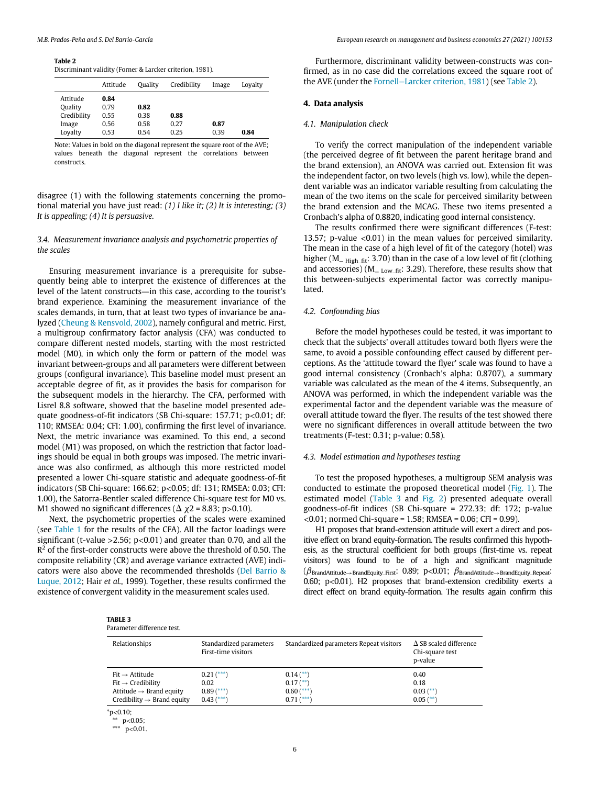#### <span id="page-5-0"></span>Table 2

Discriminant validity (Forner & Larcker criterion, 1981).

|             | Attitude | Ouality | Credibility | Image | Lovalty |
|-------------|----------|---------|-------------|-------|---------|
| Attitude    | 0.84     |         |             |       |         |
| Quality     | 0.79     | 0.82    |             |       |         |
| Credibility | 0.55     | 0.38    | 0.88        |       |         |
| Image       | 0.56     | 0.58    | 0.27        | 0.87  |         |
| Lovalty     | 0.53     | 0.54    | 0.25        | 0.39  | 0.84    |
|             |          |         |             |       |         |

Note: Values in bold on the diagonal represent the square root of the AVE; values beneath the diagonal represent the correlations between constructs.

disagree (1) with the following statements concerning the promotional material you have just read:  $(1)$  I like it;  $(2)$  It is interesting;  $(3)$ It is appealing; (4) It is persuasive.

#### 3.4. Measurement invariance analysis and psychometric properties of the scales

Ensuring measurement invariance is a prerequisite for subsequently being able to interpret the existence of differences at the level of the latent constructs—in this case, according to the tourist's brand experience. Examining the measurement invariance of the scales demands, in turn, that at least two types of invariance be analyzed ([Cheung & Rensvold, 2002\)](#page-8-60), namely configural and metric. First, a multigroup confirmatory factor analysis (CFA) was conducted to compare different nested models, starting with the most restricted model (M0), in which only the form or pattern of the model was invariant between-groups and all parameters were different between groups (configural invariance). This baseline model must present an acceptable degree of fit, as it provides the basis for comparison for the subsequent models in the hierarchy. The CFA, performed with Lisrel 8.8 software, showed that the baseline model presented adequate goodness-of-fit indicators (SB Chi-square: 157.71; p<0.01; df: 110; RMSEA: 0.04; CFI: 1.00), confirming the first level of invariance. Next, the metric invariance was examined. To this end, a second model (M1) was proposed, on which the restriction that factor loadings should be equal in both groups was imposed. The metric invariance was also confirmed, as although this more restricted model presented a lower Chi-square statistic and adequate goodness-of-fit indicators (SB Chi-square: 166.62; p<0.05; df: 131; RMSEA: 0.03; CFI: 1.00), the Satorra-Bentler scaled difference Chi-square test for M0 vs. M1 showed no significant differences ( $\Delta \chi$ 2 = 8.83; p>0.10).

<span id="page-5-1"></span>Next, the psychometric properties of the scales were examined (see [Table 1](#page-4-0) for the results of the CFA). All the factor loadings were significant (t-value > 2.56;  $p$  < 0.01) and greater than 0.70, and all the  $R^2$  of the first-order constructs were above the threshold of 0.50. The composite reliability (CR) and average variance extracted (AVE) indicators were also above the recommended thresholds [\(Del Barrio &](#page-8-61) [Luque, 2012](#page-8-61); Hair et al., 1999). Together, these results confirmed the existence of convergent validity in the measurement scales used.

| Furthermore, discriminant validity between-constructs was con-       |
|----------------------------------------------------------------------|
| firmed, as in no case did the correlations exceed the square root of |
| the AVE (under the Fornell–Larcker criterion, 1981) (see Table 2).   |

#### 4. Data analysis

#### 4.1. Manipulation check

To verify the correct manipulation of the independent variable (the perceived degree of fit between the parent heritage brand and the brand extension), an ANOVA was carried out. Extension fit was the independent factor, on two levels (high vs. low), while the dependent variable was an indicator variable resulting from calculating the mean of the two items on the scale for perceived similarity between the brand extension and the MCAG. These two items presented a Cronbach's alpha of 0.8820, indicating good internal consistency.

The results confirmed there were significant differences (F-test: 13.57; p-value <0.01) in the mean values for perceived similarity. The mean in the case of a high level of fit of the category (hotel) was higher ( $M_{\text{– High-fit}}$ : 3.70) than in the case of a low level of fit (clothing and accessories) ( $M_{\text{L Iow fit}}$ : 3.29). Therefore, these results show that this between-subjects experimental factor was correctly manipulated.

#### 4.2. Confounding bias

Before the model hypotheses could be tested, it was important to check that the subjects' overall attitudes toward both flyers were the same, to avoid a possible confounding effect caused by different perceptions. As the 'attitude toward the flyer' scale was found to have a good internal consistency (Cronbach's alpha: 0.8707), a summary variable was calculated as the mean of the 4 items. Subsequently, an ANOVA was performed, in which the independent variable was the experimental factor and the dependent variable was the measure of overall attitude toward the flyer. The results of the test showed there were no significant differences in overall attitude between the two treatments (F-test: 0.31; p-value: 0.58).

#### 4.3. Model estimation and hypotheses testing

To test the proposed hypotheses, a multigroup SEM analysis was conducted to estimate the proposed theoretical model [\(Fig. 1](#page-3-0)). The estimated model ([Table 3](#page-5-1) and [Fig. 2\)](#page-6-0) presented adequate overall goodness-of-fit indices (SB Chi-square = 272.33; df: 172; p-value <0.01; normed Chi-square = 1.58; RMSEA = 0.06; CFI = 0.99).

H1 proposes that brand-extension attitude will exert a direct and positive effect on brand equity-formation. The results confirmed this hypothesis, as the structural coefficient for both groups (first-time vs. repeat visitors) was found to be of a high and significant magnitude  $(\beta_{\text{BrandAttitude} \rightarrow \text{BrandEquiv\_First}: 0.89; p<0.01; \ \beta_{\text{BrandAttitude} \rightarrow \text{BrandEquiv\_Repeat}})$ 0.60; p<0.01). H2 proposes that brand-extension credibility exerts a direct effect on brand equity-formation. The results again confirm this

|--|

| Relationships                          | Standardized parameters<br>First-time visitors | Standardized parameters Repeat visitors | $\Delta$ SB scaled difference<br>Chi-square test<br>p-value |
|----------------------------------------|------------------------------------------------|-----------------------------------------|-------------------------------------------------------------|
| $Fit \rightarrow Attitude$             | $0.21$ (***)                                   | $0.14$ (**)                             | 0.40                                                        |
| $Fit \rightarrow Credibility$          | 0.02                                           | $0.17$ (**)                             | 0.18                                                        |
| Attitude $\rightarrow$ Brand equity    | $0.89$ (***)                                   | $0.60$ (***)                            | $0.03$ (**)                                                 |
| Credibility $\rightarrow$ Brand equity | $0.43$ (***)                                   | $0.71$ $(***)$                          | $0.05$ (**)                                                 |

<span id="page-5-2"></span> $*$  p<0.05;

<sup>\*\*\*</sup>  $p<0.01$ .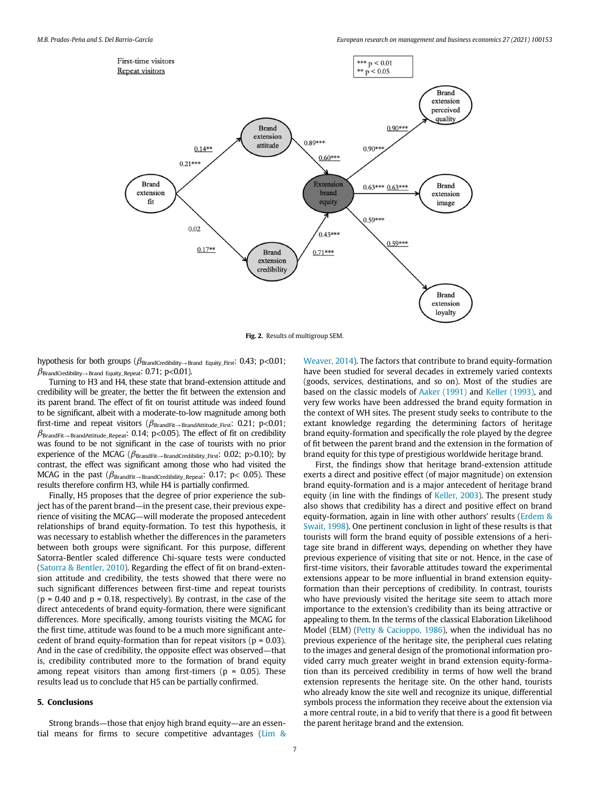<span id="page-6-0"></span>

Fig. 2. Results of multigroup SEM.

hypothesis for both groups ( $\beta_{\text{BrandCredibility} \rightarrow \text{Brand}}$  Equity\_First: 0.43; p<0.01;  $\beta$ BrandCredibility $\rightarrow$ Brand Equity\_Repeat: 0.71; p<0.01).

Turning to H3 and H4, these state that brand-extension attitude and credibility will be greater, the better the fit between the extension and its parent brand. The effect of fit on tourist attitude was indeed found to be significant, albeit with a moderate-to-low magnitude among both first-time and repeat visitors ( $\beta_{\text{BrandFit}\rightarrow\text{BrandAttitude\_First}}$ : 0.21; p<0.01;  $\beta_{\text{BrandFit}\rightarrow\text{BrandAttitude\_Repeat: } 0.14$ ; p<0.05). The effect of fit on credibility was found to be not significant in the case of tourists with no prior experience of the MCAG ( $\beta_{\text{BrandFit}\rightarrow\text{BrandCredibility\_First}}$ : 0.02; p>0.10); by contrast, the effect was significant among those who had visited the MCAG in the past ( $\beta_{\text{BrandFit}\rightarrow\text{BrandCredibility\_Repeat}}$ : 0.17; p< 0.05). These results therefore confirm H3, while H4 is partially confirmed.

Finally, H5 proposes that the degree of prior experience the subject has of the parent brand—in the present case, their previous experience of visiting the MCAG—will moderate the proposed antecedent relationships of brand equity-formation. To test this hypothesis, it was necessary to establish whether the differences in the parameters between both groups were significant. For this purpose, different Satorra-Bentler scaled difference Chi-square tests were conducted ([Satorra & Bentler, 2010\)](#page-8-63). Regarding the effect of fit on brand-extension attitude and credibility, the tests showed that there were no such significant differences between first-time and repeat tourists  $(p = 0.40$  and  $p = 0.18$ , respectively). By contrast, in the case of the direct antecedents of brand equity-formation, there were significant differences. More specifically, among tourists visiting the MCAG for the first time, attitude was found to be a much more significant antecedent of brand equity-formation than for repeat visitors ( $p = 0.03$ ). And in the case of credibility, the opposite effect was observed—that is, credibility contributed more to the formation of brand equity among repeat visitors than among first-timers ( $p = 0.05$ ). These results lead us to conclude that H5 can be partially confirmed.

#### 5. Conclusions

Strong brands—those that enjoy high brand equity—are an essential means for firms to secure competitive advantages [\(Lim &](#page-8-15)

[Weaver, 2014\)](#page-8-15). The factors that contribute to brand equity-formation have been studied for several decades in extremely varied contexts (goods, services, destinations, and so on). Most of the studies are based on the classic models of [Aaker \(1991\)](#page-7-2) and [Keller \(1993\)](#page-8-24), and very few works have been addressed the brand equity formation in the context of WH sites. The present study seeks to contribute to the extant knowledge regarding the determining factors of heritage brand equity-formation and specifically the role played by the degree of fit between the parent brand and the extension in the formation of brand equity for this type of prestigious worldwide heritage brand.

First, the findings show that heritage brand-extension attitude exerts a direct and positive effect (of major magnitude) on extension brand equity-formation and is a major antecedent of heritage brand equity (in line with the findings of [Keller, 2003](#page-8-34)). The present study also shows that credibility has a direct and positive effect on brand equity-formation, again in line with other authors' results ([Erdem &](#page-8-17) [Swait, 1998](#page-8-17)). One pertinent conclusion in light of these results is that tourists will form the brand equity of possible extensions of a heritage site brand in different ways, depending on whether they have previous experience of visiting that site or not. Hence, in the case of first-time visitors, their favorable attitudes toward the experimental extensions appear to be more influential in brand extension equityformation than their perceptions of credibility. In contrast, tourists who have previously visited the heritage site seem to attach more importance to the extension's credibility than its being attractive or appealing to them. In the terms of the classical Elaboration Likelihood Model (ELM) [\(Petty & Cacioppo, 1986\)](#page-8-64), when the individual has no previous experience of the heritage site, the peripheral cues relating to the images and general design of the promotional information provided carry much greater weight in brand extension equity-formation than its perceived credibility in terms of how well the brand extension represents the heritage site. On the other hand, tourists who already know the site well and recognize its unique, differential symbols process the information they receive about the extension via a more central route, in a bid to verify that there is a good fit between the parent heritage brand and the extension.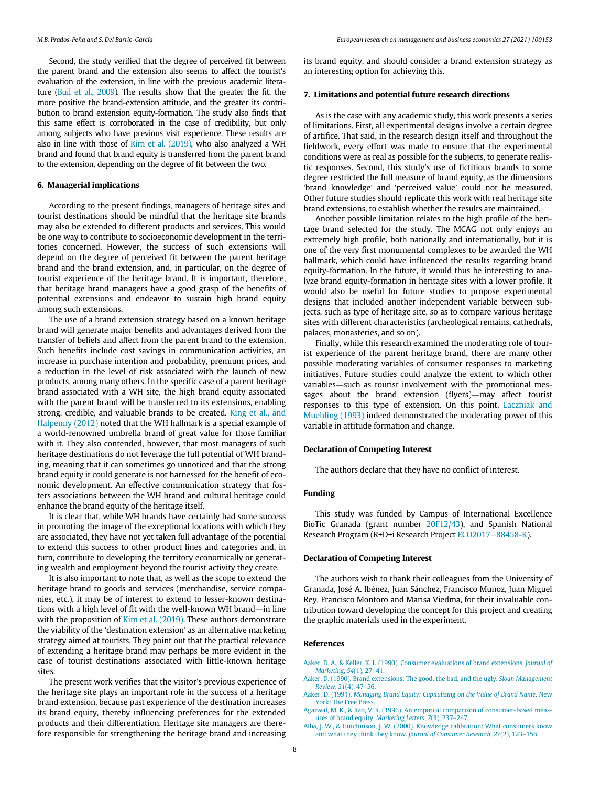Second, the study verified that the degree of perceived fit between the parent brand and the extension also seems to affect the tourist's evaluation of the extension, in line with the previous academic literature [\(Buil et al., 2009\)](#page-8-10). The results show that the greater the fit, the more positive the brand-extension attitude, and the greater its contribution to brand extension equity-formation. The study also finds that this same effect is corroborated in the case of credibility, but only among subjects who have previous visit experience. These results are also in line with those of [Kim et al. \(2019\),](#page-8-8) who also analyzed a WH brand and found that brand equity is transferred from the parent brand to the extension, depending on the degree of fit between the two.

#### 6. Managerial implications

According to the present findings, managers of heritage sites and tourist destinations should be mindful that the heritage site brands may also be extended to different products and services. This would be one way to contribute to socioeconomic development in the territories concerned. However, the success of such extensions will depend on the degree of perceived fit between the parent heritage brand and the brand extension, and, in particular, on the degree of tourist experience of the heritage brand. It is important, therefore, that heritage brand managers have a good grasp of the benefits of potential extensions and endeavor to sustain high brand equity among such extensions.

The use of a brand extension strategy based on a known heritage brand will generate major benefits and advantages derived from the transfer of beliefs and affect from the parent brand to the extension. Such benefits include cost savings in communication activities, an increase in purchase intention and probability, premium prices, and a reduction in the level of risk associated with the launch of new products, among many others. In the specific case of a parent heritage brand associated with a WH site, the high brand equity associated with the parent brand will be transferred to its extensions, enabling strong, credible, and valuable brands to be created. [King et al., and](#page-8-65) [Halpenny \(2012\)](#page-8-65) noted that the WH hallmark is a special example of a world-renowned umbrella brand of great value for those familiar with it. They also contended, however, that most managers of such heritage destinations do not leverage the full potential of WH branding, meaning that it can sometimes go unnoticed and that the strong brand equity it could generate is not harnessed for the benefit of economic development. An effective communication strategy that fosters associations between the WH brand and cultural heritage could enhance the brand equity of the heritage itself.

<span id="page-7-6"></span><span id="page-7-5"></span>It is clear that, while WH brands have certainly had some success in promoting the image of the exceptional locations with which they are associated, they have not yet taken full advantage of the potential to extend this success to other product lines and categories and, in turn, contribute to developing the territory economically or generating wealth and employment beyond the tourist activity they create.

It is also important to note that, as well as the scope to extend the heritage brand to goods and services (merchandise, service companies, etc.), it may be of interest to extend to lesser-known destinations with a high level of fit with the well-known WH brand—in line with the proposition of [Kim et al. \(2019\)](#page-8-8). These authors demonstrate the viability of the 'destination extension' as an alternative marketing strategy aimed at tourists. They point out that the practical relevance of extending a heritage brand may perhaps be more evident in the case of tourist destinations associated with little-known heritage sites.

<span id="page-7-4"></span><span id="page-7-3"></span><span id="page-7-2"></span><span id="page-7-1"></span><span id="page-7-0"></span>The present work verifies that the visitor's previous experience of the heritage site plays an important role in the success of a heritage brand extension, because past experience of the destination increases its brand equity, thereby influencing preferences for the extended products and their differentiation. Heritage site managers are therefore responsible for strengthening the heritage brand and increasing its brand equity, and should consider a brand extension strategy as an interesting option for achieving this.

#### 7. Limitations and potential future research directions

As is the case with any academic study, this work presents a series of limitations. First, all experimental designs involve a certain degree of artifice. That said, in the research design itself and throughout the fieldwork, every effort was made to ensure that the experimental conditions were as real as possible for the subjects, to generate realistic responses. Second, this study's use of fictitious brands to some degree restricted the full measure of brand equity, as the dimensions 'brand knowledge' and 'perceived value' could not be measured. Other future studies should replicate this work with real heritage site brand extensions, to establish whether the results are maintained.

Another possible limitation relates to the high profile of the heritage brand selected for the study. The MCAG not only enjoys an extremely high profile, both nationally and internationally, but it is one of the very first monumental complexes to be awarded the WH hallmark, which could have influenced the results regarding brand equity-formation. In the future, it would thus be interesting to analyze brand equity-formation in heritage sites with a lower profile. It would also be useful for future studies to propose experimental designs that included another independent variable between subjects, such as type of heritage site, so as to compare various heritage sites with different characteristics (archeological remains, cathedrals, palaces, monasteries, and so on).

Finally, while this research examined the moderating role of tourist experience of the parent heritage brand, there are many other possible moderating variables of consumer responses to marketing initiatives. Future studies could analyze the extent to which other variables—such as tourist involvement with the promotional messages about the brand extension (flyers)—may affect tourist responses to this type of extension. On this point, [Laczniak and](#page-8-66) [Muehling \(1993\)](#page-8-66) indeed demonstrated the moderating power of this variable in attitude formation and change.

#### Declaration of Competing Interest

The authors declare that they have no conflict of interest.

#### Funding

This study was funded by Campus of International Excellence BioTic Granada (grant number [20F12/43\)](#page-7-5), and Spanish National Research Program (R+D+i Research Project [ECO2017](#page-7-6)−88458-R).

#### Declaration of Competing Interest

The authors wish to thank their colleagues from the University of Granada, José A. Ibéñez, Juan Sánchez, Francisco Muñoz, Juan Miguel Rey, Francisco Montoro and Marisa Viedma, for their invaluable contribution toward developing the concept for this project and creating the graphic materials used in the experiment.

#### References

[Aaker, D. A., & Keller, K. L. \(1990\). Consumer evaluations of brand extensions.](http://refhub.elsevier.com/S2444-8834(21)00012-7/sbref0001) Journal of [Marketing](http://refhub.elsevier.com/S2444-8834(21)00012-7/sbref0001), 54(1), 27–41.

- [Aaker, D. \(1990\). Brand extensions: The good, the bad, and the ugly.](http://refhub.elsevier.com/S2444-8834(21)00012-7/sbref0002) Sloan Management [Review](http://refhub.elsevier.com/S2444-8834(21)00012-7/sbref0002), 31(4), 47–56.
- Aaker, D. (1991). [Managing Brand Equity: Capitalizing on the Value of Brand Name](http://refhub.elsevier.com/S2444-8834(21)00012-7/sbref0003). New [York: The Free Press.](http://refhub.elsevier.com/S2444-8834(21)00012-7/sbref0003)
- [Agarwal, M. K., & Rao, V. R. \(1996\). An empirical comparison of consumer-based meas](http://refhub.elsevier.com/S2444-8834(21)00012-7/sbref0004)[ures of brand equity.](http://refhub.elsevier.com/S2444-8834(21)00012-7/sbref0004) Marketing Letters, 7(3), 237–247.
- [Alba, J. W., & Hutchinson, J. W. \(2000\). Knowledge calibration: What consumers know](http://refhub.elsevier.com/S2444-8834(21)00012-7/sbref0005) [and what they think they know.](http://refhub.elsevier.com/S2444-8834(21)00012-7/sbref0005) Journal of Consumer Research, 27(2), 123–156.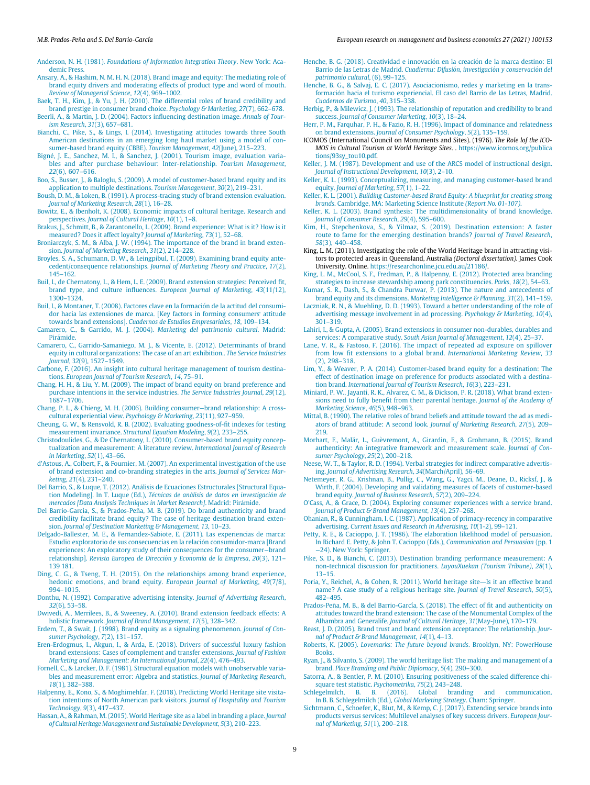<span id="page-8-30"></span><span id="page-8-4"></span>Anderson, N. H. (1981). [Foundations of Information Integration Theory](http://refhub.elsevier.com/S2444-8834(21)00012-7/sbref0006). New York: Aca[demic Press.](http://refhub.elsevier.com/S2444-8834(21)00012-7/sbref0006)

- <span id="page-8-35"></span><span id="page-8-1"></span>[Ansary, A., & Hashim, N. M. H. N. \(2018\). Brand image and equity: The mediating role of](http://refhub.elsevier.com/S2444-8834(21)00012-7/sbref0007) [brand equity drivers and moderating effects of product type and word of mouth.](http://refhub.elsevier.com/S2444-8834(21)00012-7/sbref0007) [Review of Managerial Science](http://refhub.elsevier.com/S2444-8834(21)00012-7/sbref0007), 12(4), 969–1002.
- <span id="page-8-50"></span><span id="page-8-39"></span>[Baek, T. H., Kim, J., & Yu, J. H. \(2010\). The differential roles of brand credibility and](http://refhub.elsevier.com/S2444-8834(21)00012-7/sbref0008) [brand prestige in consumer brand choice.](http://refhub.elsevier.com/S2444-8834(21)00012-7/sbref0008) Psychology & Marketing, 27(7), 662–678.

<span id="page-8-53"></span><span id="page-8-51"></span>[Beerli, A., & Martin, J. D. \(2004\). Factors in](http://refhub.elsevier.com/S2444-8834(21)00012-7/sbref0009)fluencing destination image. Annals of Tour[ism Research](http://refhub.elsevier.com/S2444-8834(21)00012-7/sbref0009), 31(3), 657–681.

<span id="page-8-26"></span><span id="page-8-21"></span>[Bianchi, C., Pike, S., & Lings, I. \(2014\). Investigating attitudes towards three South](http://refhub.elsevier.com/S2444-8834(21)00012-7/sbref0010) [American destinations in an emerging long haul market using a model of con](http://refhub.elsevier.com/S2444-8834(21)00012-7/sbref0010)[sumer-based brand equity \(CBBE\).](http://refhub.elsevier.com/S2444-8834(21)00012-7/sbref0010) Tourism Management, 42(June), 215–223.

<span id="page-8-56"></span><span id="page-8-29"></span>Bigné, J. E., Sanchez, M. I., & Sanchez, J. (2[001\). Tourism image, evaluation varia](http://refhub.elsevier.com/S2444-8834(21)00012-7/sbref0011)[bles and after purchase behaviour: Inter-relationship.](http://refhub.elsevier.com/S2444-8834(21)00012-7/sbref0011) Tourism Management, 22[\(6\), 607](http://refhub.elsevier.com/S2444-8834(21)00012-7/sbref0011)–616.

<span id="page-8-27"></span><span id="page-8-24"></span>[Boo, S., Busser, J., & Baloglu, S. \(2009\). A model of customer-based brand equity and its](http://refhub.elsevier.com/S2444-8834(21)00012-7/sbref0012) [application to multiple destinations.](http://refhub.elsevier.com/S2444-8834(21)00012-7/sbref0012) Tourism Management, 30(2), 219–231.

<span id="page-8-45"></span><span id="page-8-32"></span>[Boush, D. M., & Loken, B. \(1991\). A process-tracing study of brand extension evaluation.](http://refhub.elsevier.com/S2444-8834(21)00012-7/sbref0013) [Journal of Marketing Research](http://refhub.elsevier.com/S2444-8834(21)00012-7/sbref0013), 28(1), 16–28.

<span id="page-8-34"></span><span id="page-8-0"></span>[Bowitz, E., & Ibenholt, K. \(2008\). Economic impacts of cultural heritage. Research and](http://refhub.elsevier.com/S2444-8834(21)00012-7/sbref0014) perspectives. [Journal of Cultural Heritage](http://refhub.elsevier.com/S2444-8834(21)00012-7/sbref0014), 10(1), 1–8.

<span id="page-8-44"></span><span id="page-8-8"></span>[Brakus, J., Schmitt, B., & Zarantonello, L. \(2009\). Brand experience: What is it? How is it](http://refhub.elsevier.com/S2444-8834(21)00012-7/sbref0015) [measured? Does it affect loyalty?](http://refhub.elsevier.com/S2444-8834(21)00012-7/sbref0015) Journal of Marketing, 73(1), 52–68.

<span id="page-8-33"></span><span id="page-8-22"></span>[Broniarczyk, S. M., & Alba, J. W. \(1994\). The importance of the brand in brand exten](http://refhub.elsevier.com/S2444-8834(21)00012-7/sbref0016)sion. [Journal of Marketing Research](http://refhub.elsevier.com/S2444-8834(21)00012-7/sbref0016), 31(2), 214–228.

<span id="page-8-16"></span>[Broyles, S. A., Schumann, D. W., & Leingpibul, T. \(2009\). Examining brand equity ante](http://refhub.elsevier.com/S2444-8834(21)00012-7/sbref0017)cedent/consequence relationships. [Journal of Marketing Theory and Practice](http://refhub.elsevier.com/S2444-8834(21)00012-7/sbref0017), 17(2), 145–[162.](http://refhub.elsevier.com/S2444-8834(21)00012-7/sbref0017)

<span id="page-8-65"></span><span id="page-8-19"></span><span id="page-8-10"></span>[Buil, I., de Chernatony, L., & Hem, L. E. \(2009\). Brand extension strategies: Perceived](http://refhub.elsevier.com/S2444-8834(21)00012-7/sbref0018) fit, brand type, and culture influences. [European Journal of Marketing](http://refhub.elsevier.com/S2444-8834(21)00012-7/sbref0018), 43(11/12), 1300–[1324.](http://refhub.elsevier.com/S2444-8834(21)00012-7/sbref0018)

<span id="page-8-66"></span><span id="page-8-18"></span>Buil, I., & Montaner, T. (2008). Factores clave en la formación de la actitud del consumi[dor hacia las extensiones de marca. \[Key factors in forming consumers](http://refhub.elsevier.com/S2444-8834(21)00012-7/sbref0019)' attitude towards brand extensions]. [Cuadernos de Estudios Empresariales](http://refhub.elsevier.com/S2444-8834(21)00012-7/sbref0019), 18, 109–134.

<span id="page-8-20"></span><span id="page-8-12"></span>[Camarero, C., & Garrido, M. J. \(2004\).](http://refhub.elsevier.com/S2444-8834(21)00012-7/sbref0020) Marketing del patrimonio cultural. Madrid: Pirámide

<span id="page-8-40"></span><span id="page-8-28"></span>[Camarero, C., Garrido-Samaniego, M. J., & Vicente, E. \(2012\). Determinants of brand](http://refhub.elsevier.com/S2444-8834(21)00012-7/sbref0021) [equity in cultural organizations: The case of an art exhibition..](http://refhub.elsevier.com/S2444-8834(21)00012-7/sbref0021) The Service Industries Journal, 32[\(9\), 1527](http://refhub.elsevier.com/S2444-8834(21)00012-7/sbref0021)–1549.

<span id="page-8-15"></span><span id="page-8-2"></span>[Carbone, F. \(2016\). An insight into cultural heritage management of tourism destina](http://refhub.elsevier.com/S2444-8834(21)00012-7/sbref0022)tions. [European Journal of Tourism Research](http://refhub.elsevier.com/S2444-8834(21)00012-7/sbref0022), 14, 75–91.

<span id="page-8-36"></span><span id="page-8-11"></span>[Chang, H. H., & Liu, Y. M. \(2009\). The impact of brand equity on brand preference and](http://refhub.elsevier.com/S2444-8834(21)00012-7/sbref0023) [purchase intentions in the service industries.](http://refhub.elsevier.com/S2444-8834(21)00012-7/sbref0023) The Service Industries Journal, 29(12), 1687–[1706.](http://refhub.elsevier.com/S2444-8834(21)00012-7/sbref0023)

<span id="page-8-55"></span><span id="page-8-43"></span>[Chang, P. L., & Chieng, M. H. \(2006\). Building consumer](http://refhub.elsevier.com/S2444-8834(21)00012-7/sbref0024)−brand relationship: A cross[cultural experiential view.](http://refhub.elsevier.com/S2444-8834(21)00012-7/sbref0024) Psychology & Marketing, 23(11), 927–959.

<span id="page-8-60"></span>[Cheung, G. W., & Rensvold, R. B. \(2002\). Evaluating goodness-of-](http://refhub.elsevier.com/S2444-8834(21)00012-7/sbref0025)fit indexes for testing measurement invariance. [Structural Equation Modeling](http://refhub.elsevier.com/S2444-8834(21)00012-7/sbref0025), 9(2), 233–255.

<span id="page-8-38"></span><span id="page-8-37"></span>[Christodoulides, G., & De Chernatony, L. \(2010\). Consumer-based brand equity concep](http://refhub.elsevier.com/S2444-8834(21)00012-7/sbref0026)[tualization and measurement: A literature review.](http://refhub.elsevier.com/S2444-8834(21)00012-7/sbref0026) International Journal of Research [in Marketing](http://refhub.elsevier.com/S2444-8834(21)00012-7/sbref0026), 52(1), 43–66.

<span id="page-8-59"></span><span id="page-8-13"></span>d'[Astous, A., Colbert, F., & Fournier, M. \(2007\). An experimental investigation of the use](http://refhub.elsevier.com/S2444-8834(21)00012-7/sbref0027) [of brand extension and co-branding strategies in the arts.](http://refhub.elsevier.com/S2444-8834(21)00012-7/sbref0027) Journal of Services Marketing, 21[\(4\), 231](http://refhub.elsevier.com/S2444-8834(21)00012-7/sbref0027)–240.

<span id="page-8-61"></span><span id="page-8-54"></span>[Del Barrio, S., & Luque, T. \(2012\). An](http://refhub.elsevier.com/S2444-8834(21)00012-7/sbref0028)álisis de Ecuaciones Estructurales [Structural Equa[tion Modeling\]. In T. Luque \(Ed.\),](http://refhub.elsevier.com/S2444-8834(21)00012-7/sbref0028) Técnicas de aná[lisis de datos en investigaci](http://refhub.elsevier.com/S2444-8834(21)00012-7/sbref0028)ón de [mercados \[Data Analysis Techniques in Market Research\]](http://refhub.elsevier.com/S2444-8834(21)00012-7/sbref0028). Madrid: Pirámide.

<span id="page-8-57"></span><span id="page-8-47"></span><span id="page-8-23"></span>[Del Barrio-Garcia, S., & Prados-Pena, M. B. \(2019\). Do brand authenticity and brand](http://refhub.elsevier.com/S2444-8834(21)00012-7/sbref0029) [credibility facilitate brand equity? The case of heritage destination brand exten](http://refhub.elsevier.com/S2444-8834(21)00012-7/sbref0029)sion. [Journal of Destination Marketing & Management](http://refhub.elsevier.com/S2444-8834(21)00012-7/sbref0029), 13, 10–23. [Delgado-Ballester, M. E., & Fernandez-Sabiote, E. \(2011\). Las experiencias de marca:](http://refhub.elsevier.com/S2444-8834(21)00012-7/sbref0030)

<span id="page-8-64"></span><span id="page-8-49"></span>[Estudio exploratorio de sus consecuencias en la relacion consumidor-marca \[Brand](http://refhub.elsevier.com/S2444-8834(21)00012-7/sbref0030) [experiences: An exploratory study of their consequences for the consumer](http://refhub.elsevier.com/S2444-8834(21)00012-7/sbref0030)−brand relationship]. [Revista Europea de Direcci](http://refhub.elsevier.com/S2444-8834(21)00012-7/sbref0030)ó[n y Economía de la Empresa](http://refhub.elsevier.com/S2444-8834(21)00012-7/sbref0030), 20(3), 121-[139 181.](http://refhub.elsevier.com/S2444-8834(21)00012-7/sbref0030)

<span id="page-8-48"></span><span id="page-8-25"></span><span id="page-8-6"></span>[Ding, C. G., & Tseng, T. H. \(2015\). On the relationships among brand experience,](http://refhub.elsevier.com/S2444-8834(21)00012-7/sbref0031) [hedonic emotions, and brand equity.](http://refhub.elsevier.com/S2444-8834(21)00012-7/sbref0031) European Journal of Marketing, 49(7/8), 994–[1015.](http://refhub.elsevier.com/S2444-8834(21)00012-7/sbref0031)

<span id="page-8-58"></span><span id="page-8-14"></span>[Donthu, N. \(1992\). Comparative advertising intensity.](http://refhub.elsevier.com/S2444-8834(21)00012-7/sbref0032) Journal of Advertising Research, 32[\(6\), 53](http://refhub.elsevier.com/S2444-8834(21)00012-7/sbref0032)–58.

<span id="page-8-41"></span>[Dwivedi, A., Merrilees, B., & Sweeney, A. \(2010\). Brand extension feedback effects: A](http://refhub.elsevier.com/S2444-8834(21)00012-7/sbref0035) holistic framework. [Journal of Brand Management](http://refhub.elsevier.com/S2444-8834(21)00012-7/sbref0035), 17(5), 328–342.

<span id="page-8-17"></span><span id="page-8-9"></span>[Erdem, T., & Swait, J. \(1998\). Brand equity as a signaling phenomenon.](http://refhub.elsevier.com/S2444-8834(21)00012-7/sbref0036) Journal of Con[sumer Psychology](http://refhub.elsevier.com/S2444-8834(21)00012-7/sbref0036), 7(2), 131–157.

<span id="page-8-46"></span><span id="page-8-42"></span>[Eren-Erdogmus, I., Akgun, I., & Arda, E. \(2018\). Drivers of successful luxury fashion](http://refhub.elsevier.com/S2444-8834(21)00012-7/sbref0037) [brand extensions: Cases of complement and transfer extensions.](http://refhub.elsevier.com/S2444-8834(21)00012-7/sbref0037) Journal of Fashion [Marketing and Management: An International Journal](http://refhub.elsevier.com/S2444-8834(21)00012-7/sbref0037), 22(4), 476–493.

<span id="page-8-63"></span><span id="page-8-62"></span><span id="page-8-5"></span>[Fornell, C., & Larcker, D. F. \(1981\). Structural equation models with unobservable varia](http://refhub.elsevier.com/S2444-8834(21)00012-7/sbref0038)[bles and measurement error: Algebra and statistics.](http://refhub.elsevier.com/S2444-8834(21)00012-7/sbref0038) Journal of Marketing Research, 18[\(1\), 382](http://refhub.elsevier.com/S2444-8834(21)00012-7/sbref0038)–388.

<span id="page-8-52"></span><span id="page-8-3"></span>[Halpenny, E., Kono, S., & Moghimehfar, F. \(2018\). Predicting World Heritage site visita](http://refhub.elsevier.com/S2444-8834(21)00012-7/sbref0040)[tion intentions of North American park visitors.](http://refhub.elsevier.com/S2444-8834(21)00012-7/sbref0040) Journal of Hospitality and Tourism [Technology](http://refhub.elsevier.com/S2444-8834(21)00012-7/sbref0040), 9(3), 417–437.

<span id="page-8-31"></span><span id="page-8-7"></span>[Hassan, A., & Rahman, M. \(2015\). World Heritage site as a label in branding a place.](http://refhub.elsevier.com/S2444-8834(21)00012-7/sbref0041) Journal [of Cultural Heritage Management and Sustainable Development](http://refhub.elsevier.com/S2444-8834(21)00012-7/sbref0041), 5(3), 210–223.

Henche, B. G. (2018). Creatividad e innovación en la creación de la marca destino: El [Barrio de las Letras de Madrid.](http://refhub.elsevier.com/S2444-8834(21)00012-7/sbref0042) Cuadiernu: Difusió[n, investigaci](http://refhub.elsevier.com/S2444-8834(21)00012-7/sbref0042)ó[n y conservaci](http://refhub.elsevier.com/S2444-8834(21)00012-7/sbref0042)ó[n del](http://refhub.elsevier.com/S2444-8834(21)00012-7/sbref0042) [patrimonio cultural](http://refhub.elsevier.com/S2444-8834(21)00012-7/sbref0042), (6), 99–125.

[Henche, B. G., & Salvaj, E. C. \(2017\). Asociacionismo, redes y marketing en la trans](http://refhub.elsevier.com/S2444-8834(21)00012-7/sbref0043)[formacion hacia el turismo experiencial. El caso del Barrio de las Letras, Madrid.](http://refhub.elsevier.com/S2444-8834(21)00012-7/sbref0043) [Cuadernos de Turismo](http://refhub.elsevier.com/S2444-8834(21)00012-7/sbref0043), 40, 315–338.

[Herbig, P., & Milewicz, J. \(1993\). The relationship of reputation and credibility to brand](http://refhub.elsevier.com/S2444-8834(21)00012-7/sbref0044) success. [Journal of Consumer Marketing](http://refhub.elsevier.com/S2444-8834(21)00012-7/sbref0044), 10(3), 18–24.

[Herr, P. M., Farquhar, P. H., & Fazio, R. H. \(1996\). Impact of dominance and relatedness](http://refhub.elsevier.com/S2444-8834(21)00012-7/sbref0045) on brand extensions. [Journal of Consumer Psychology](http://refhub.elsevier.com/S2444-8834(21)00012-7/sbref0045), 5(2), 135–159.

ICOMOS (International Council on Monuments and Sites). (1976). The Role lof the ICO-MOS in Cultural Tourism at World Heritage Sites. . [https://www.icomos.org/publica](https://www.icomos.org/publications/93sy_tou10.pdf) [tions/93sy\\_tou10.pdf](https://www.icomos.org/publications/93sy_tou10.pdf).

[Keller, J. M. \(1987\). Development and use of the ARCS model of instructional design.](http://refhub.elsevier.com/S2444-8834(21)00012-7/sbref0047) [Journal of Instructional Development](http://refhub.elsevier.com/S2444-8834(21)00012-7/sbref0047), 10(3), 2–10.

[Keller, K. L. \(1993\). Conceptualizing, measuring, and managing customer-based brand](http://refhub.elsevier.com/S2444-8834(21)00012-7/sbref0048) equity. [Journal of Marketing](http://refhub.elsevier.com/S2444-8834(21)00012-7/sbref0048), 57(1), 1–22.

Keller, K. L. (2001). [Building Customer-based Brand Equity: A blueprint for creating strong](http://refhub.elsevier.com/S2444-8834(21)00012-7/sbref0049) brands[. Cambridge, MA: Marketing Science Institute](http://refhub.elsevier.com/S2444-8834(21)00012-7/sbref0049) (Report No. 01-107).

[Keller, K. L. \(2003\). Brand synthesis: The multidimensionality of brand knowledge.](http://refhub.elsevier.com/S2444-8834(21)00012-7/sbref0050) [Journal of Consumer Research](http://refhub.elsevier.com/S2444-8834(21)00012-7/sbref0050), 29(4), 595–600.

[Kim, H., Stepchenkova, S., & Yilmaz, S. \(2019\). Destination extension: A faster](http://refhub.elsevier.com/S2444-8834(21)00012-7/sbref0051) [route to fame for the emerging destination brands?](http://refhub.elsevier.com/S2444-8834(21)00012-7/sbref0051) Journal of Travel Research, 58[\(3\), 440](http://refhub.elsevier.com/S2444-8834(21)00012-7/sbref0051)–458.

King, L. M. (2011). Investigating the role of the World Heritage brand in attracting visitors to protected areas in Queensland, Australia (Doctoral dissertation). James Cook University. Online. <https://researchonline.jcu.edu.au/21186/>.

[King, L. M., McCool, S. F., Fredman, P., & Halpenny, E. \(2012\). Protected area branding](http://refhub.elsevier.com/S2444-8834(21)00012-7/sbref0053) [strategies to increase stewardship among park constituencies.](http://refhub.elsevier.com/S2444-8834(21)00012-7/sbref0053) Parks, 18(2), 54–63.

[Kumar, S. R., Dash, S., & Chandra Purwar, P. \(2013\). The nature and antecedents of](http://refhub.elsevier.com/S2444-8834(21)00012-7/sbref0054) brand equity and its dimensions. [Marketing Intelligence & Planning](http://refhub.elsevier.com/S2444-8834(21)00012-7/sbref0054), 31(2), 141–159.

[Laczniak, R. N., & Muehling, D. D. \(1993\). Toward a better understanding of the role of](http://refhub.elsevier.com/S2444-8834(21)00012-7/sbref0055) [advertising message involvement in ad processing.](http://refhub.elsevier.com/S2444-8834(21)00012-7/sbref0055) Psychology & Marketing, 10(4), 301–[319.](http://refhub.elsevier.com/S2444-8834(21)00012-7/sbref0055)

[Lahiri, I., & Gupta, A. \(2005\). Brand extensions in consumer non-durables, durables and](http://refhub.elsevier.com/S2444-8834(21)00012-7/sbref0056) services: A comparative study. [South Asian Journal of Management](http://refhub.elsevier.com/S2444-8834(21)00012-7/sbref0056), 12(4), 25–37.

[Lane, V. R., & Fastoso, F. \(2016\). The impact of repeated ad exposure on spillover](http://refhub.elsevier.com/S2444-8834(21)00012-7/sbref0057) from low fi[t extensions to a global brand.](http://refhub.elsevier.com/S2444-8834(21)00012-7/sbref0057) International Marketing Review, 33 [\(2\), 298](http://refhub.elsevier.com/S2444-8834(21)00012-7/sbref0057)–318.

[Lim, Y., & Weaver, P. A. \(2014\). Customer-based brand equity for a destination: The](http://refhub.elsevier.com/S2444-8834(21)00012-7/sbref0058) [effect of destination image on preference for products associated with a destina](http://refhub.elsevier.com/S2444-8834(21)00012-7/sbref0058)tion brand. [International Journal of Tourism Research](http://refhub.elsevier.com/S2444-8834(21)00012-7/sbref0058), 16(3), 223–231.

[Miniard, P. W., Jayanti, R. K., Alvarez, C. M., & Dickson, P. R. \(2018\). What brand exten](http://refhub.elsevier.com/S2444-8834(21)00012-7/sbref0059)sions need to fully benefi[t from their parental heritage.](http://refhub.elsevier.com/S2444-8834(21)00012-7/sbref0059) Journal of the Academy of [Marketing Science](http://refhub.elsevier.com/S2444-8834(21)00012-7/sbref0059), 46(5), 948–963.

[Mittal, B. \(1990\). The relative roles of brand beliefs and attitude toward the ad as medi](http://refhub.elsevier.com/S2444-8834(21)00012-7/sbref0060)[ators of brand attitude: A second look.](http://refhub.elsevier.com/S2444-8834(21)00012-7/sbref0060) Journal of Marketing Research, 27(5), 209– [219.](http://refhub.elsevier.com/S2444-8834(21)00012-7/sbref0060)

Morhart, F., Malär, L., Guè[vremont, A., Girardin, F., & Grohmann, B. \(2015\). Brand](http://refhub.elsevier.com/S2444-8834(21)00012-7/sbref0061) [authenticity: An integrative framework and measurement scale.](http://refhub.elsevier.com/S2444-8834(21)00012-7/sbref0061) Journal of Con[sumer Psychology](http://refhub.elsevier.com/S2444-8834(21)00012-7/sbref0061), 25(2), 200–218.

[Neese, W. T., & Taylor, R. D. \(1994\). Verbal strategies for indirect comparative advertis](http://refhub.elsevier.com/S2444-8834(21)00012-7/sbref0062)ing. [Journal of Advertising Research](http://refhub.elsevier.com/S2444-8834(21)00012-7/sbref0062), 34(March/April), 56–69.

[Netemeyer, R. G., Krishnan, B., Pullig, C., Wang, G., Yagci, M., Deane, D., Ricksf, J., &](http://refhub.elsevier.com/S2444-8834(21)00012-7/sbref0063) [Wirth, F. \(2004\). Developing and validating measures of facets of customer-based](http://refhub.elsevier.com/S2444-8834(21)00012-7/sbref0063) brand equity. [Journal of Business Research](http://refhub.elsevier.com/S2444-8834(21)00012-7/sbref0063), 57(2), 209–224.

O'[Cass, A., & Grace, D. \(2004\). Exploring consumer experiences with a service brand.](http://refhub.elsevier.com/S2444-8834(21)00012-7/sbref0064) [Journal of Product & Brand Management](http://refhub.elsevier.com/S2444-8834(21)00012-7/sbref0064), 13(4), 257–268.

[Ohanian, R., & Cunningham, I. C. \(1987\). Application of primacy-recency in comparative](http://refhub.elsevier.com/S2444-8834(21)00012-7/sbref0065) advertising. [Current Issues and Research in Advertising](http://refhub.elsevier.com/S2444-8834(21)00012-7/sbref0065), 10(1-2), 99–121.

[Petty, R. E., & Cacioppo, J. T. \(1986\). The elaboration likelihood model of persuasion.](http://refhub.elsevier.com/S2444-8834(21)00012-7/sbref0066) [In Richard E. Petty, & John T. Cacioppo \(Eds.\),](http://refhub.elsevier.com/S2444-8834(21)00012-7/sbref0066) Communication and Persuasion (pp. 1 −[24\). New York: Springer.](http://refhub.elsevier.com/S2444-8834(21)00012-7/sbref0066)

[Pike, S. D., & Bianchi, C. \(2013\). Destination branding performance measurement: A](http://refhub.elsevier.com/S2444-8834(21)00012-7/sbref0067) [non-technical discussion for practitioners.](http://refhub.elsevier.com/S2444-8834(21)00012-7/sbref0067) LuyouXuekan (Tourism Tribune), 28(1), 13–[15.](http://refhub.elsevier.com/S2444-8834(21)00012-7/sbref0067)

[Poria, Y., Reichel, A., & Cohen, R. \(2011\). World heritage site](http://refhub.elsevier.com/S2444-8834(21)00012-7/sbref0068)—Is it an effective brand [name? A case study of a religious heritage site.](http://refhub.elsevier.com/S2444-8834(21)00012-7/sbref0068) Journal of Travel Research, 50(5), 482–[495.](http://refhub.elsevier.com/S2444-8834(21)00012-7/sbref0068)

Prados-Peña, M. B., & del Barrio-García, S. (2018). The effect of fit and authenticity on [attitudes toward the brand extension: The case of the Monumental Complex of the](http://refhub.elsevier.com/S2444-8834(21)00012-7/sbref0069) Alhambra and Generalife. [Journal of Cultural Heritage](http://refhub.elsevier.com/S2444-8834(21)00012-7/sbref0069), 31(May-June), 170–179.

[Reast, J. D. \(2005\). Brand trust and brand extension acceptance: The relationship.](http://refhub.elsevier.com/S2444-8834(21)00012-7/sbref0070) Jour[nal of Product & Brand Management](http://refhub.elsevier.com/S2444-8834(21)00012-7/sbref0070), 14(1), 4–13.

Roberts, K. (2005). [Lovemarks: The future beyond brands](http://refhub.elsevier.com/S2444-8834(21)00012-7/sbref0071). Brooklyn, NY: PowerHouse **Books** 

[Ryan, J., & Silvanto, S. \(2009\). The world heritage list: The making and management of a](http://refhub.elsevier.com/S2444-8834(21)00012-7/sbref0072) brand. [Place Branding and Public Diplomacy](http://refhub.elsevier.com/S2444-8834(21)00012-7/sbref0072), 5(4), 290–300.

[Satorra, A., & Bentler, P. M. \(2010\). Ensuring positiveness of the scaled difference chi](http://refhub.elsevier.com/S2444-8834(21)00012-7/sbref0073)[square test statistic.](http://refhub.elsevier.com/S2444-8834(21)00012-7/sbref0073) Psychometrika, 75(2), 243–248.

[Schlegelmilch, B. B. \(2016\). Global branding and communication.](http://refhub.elsevier.com/S2444-8834(21)00012-7/sbref0074) [In B. B. Schlegelmilch \(Ed.\),](http://refhub.elsevier.com/S2444-8834(21)00012-7/sbref0074) Global Marketing Strategy. Cham: Springer.

[Sichtmann, C., Schoefer, K., Blut, M., & Kemp, C. J. \(2017\). Extending service brands into](http://refhub.elsevier.com/S2444-8834(21)00012-7/sbref0075) [products versus services: Multilevel analyses of key success drivers.](http://refhub.elsevier.com/S2444-8834(21)00012-7/sbref0075) European Jour[nal of Marketing](http://refhub.elsevier.com/S2444-8834(21)00012-7/sbref0075), 51(1), 200–218.